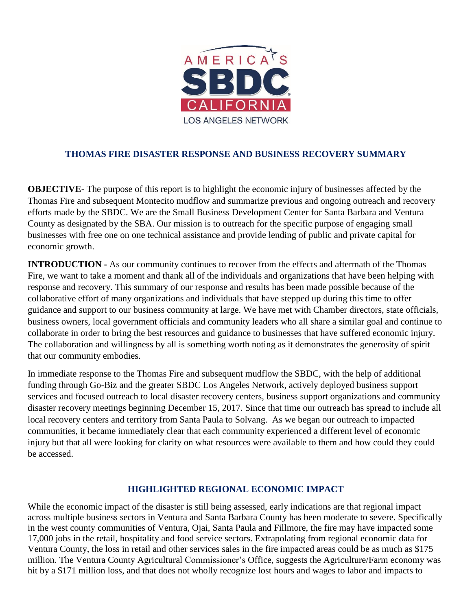

### **THOMAS FIRE DISASTER RESPONSE AND BUSINESS RECOVERY SUMMARY**

**OBJECTIVE-** The purpose of this report is to highlight the economic injury of businesses affected by the Thomas Fire and subsequent Montecito mudflow and summarize previous and ongoing outreach and recovery efforts made by the SBDC. We are the Small Business Development Center for Santa Barbara and Ventura County as designated by the SBA. Our mission is to outreach for the specific purpose of engaging small businesses with free one on one technical assistance and provide lending of public and private capital for economic growth.

**INTRODUCTION -** As our community continues to recover from the effects and aftermath of the Thomas Fire, we want to take a moment and thank all of the individuals and organizations that have been helping with response and recovery. This summary of our response and results has been made possible because of the collaborative effort of many organizations and individuals that have stepped up during this time to offer guidance and support to our business community at large. We have met with Chamber directors, state officials, business owners, local government officials and community leaders who all share a similar goal and continue to collaborate in order to bring the best resources and guidance to businesses that have suffered economic injury. The collaboration and willingness by all is something worth noting as it demonstrates the generosity of spirit that our community embodies.

In immediate response to the Thomas Fire and subsequent mudflow the SBDC, with the help of additional funding through Go-Biz and the greater SBDC Los Angeles Network, actively deployed business support services and focused outreach to local disaster recovery centers, business support organizations and community disaster recovery meetings beginning December 15, 2017. Since that time our outreach has spread to include all local recovery centers and territory from Santa Paula to Solvang. As we began our outreach to impacted communities, it became immediately clear that each community experienced a different level of economic injury but that all were looking for clarity on what resources were available to them and how could they could be accessed.

#### **HIGHLIGHTED REGIONAL ECONOMIC IMPACT**

While the economic impact of the disaster is still being assessed, early indications are that regional impact across multiple business sectors in Ventura and Santa Barbara County has been moderate to severe. Specifically in the west county communities of Ventura, Ojai, Santa Paula and Fillmore, the fire may have impacted some 17,000 jobs in the retail, hospitality and food service sectors. Extrapolating from regional economic data for Ventura County, the loss in retail and other services sales in the fire impacted areas could be as much as \$175 million. The Ventura County Agricultural Commissioner's Office, suggests the Agriculture/Farm economy was hit by a \$171 million loss, and that does not wholly recognize lost hours and wages to labor and impacts to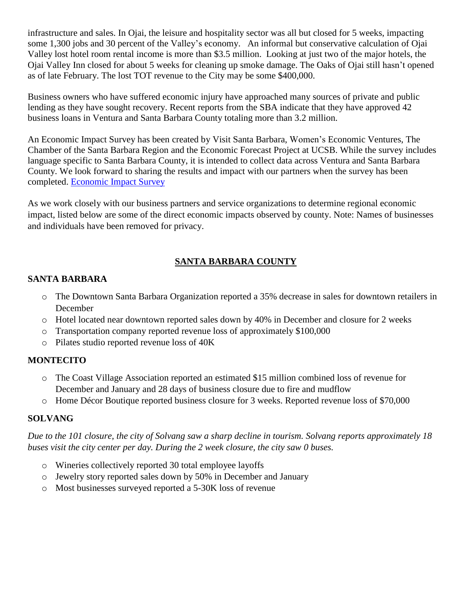infrastructure and sales. In Ojai, the leisure and hospitality sector was all but closed for 5 weeks, impacting some 1,300 jobs and 30 percent of the Valley's economy. An informal but conservative calculation of Ojai Valley lost hotel room rental income is more than \$3.5 million. Looking at just two of the major hotels, the Ojai Valley Inn closed for about 5 weeks for cleaning up smoke damage. The Oaks of Ojai still hasn't opened as of late February. The lost TOT revenue to the City may be some \$400,000.

Business owners who have suffered economic injury have approached many sources of private and public lending as they have sought recovery. Recent reports from the SBA indicate that they have approved 42 business loans in Ventura and Santa Barbara County totaling more than 3.2 million.

An Economic Impact Survey has been created by Visit Santa Barbara, Women's Economic Ventures, The Chamber of the Santa Barbara Region and the Economic Forecast Project at UCSB. While the survey includes language specific to Santa Barbara County, it is intended to collect data across Ventura and Santa Barbara County. We look forward to sharing the results and impact with our partners when the survey has been completed. [Economic](https://docs.google.com/forms/d/e/1FAIpQLSd5tOoBDdPvwDUWnQZ9ixCGWA15KPtNqp2JfAhxjJQtBnKDIQ/viewform) Impact Survey

As we work closely with our business partners and service organizations to determine regional economic impact, listed below are some of the direct economic impacts observed by county. Note: Names of businesses and individuals have been removed for privacy.

# **SANTA BARBARA COUNTY**

### **SANTA BARBARA**

- o The Downtown Santa Barbara Organization reported a 35% decrease in sales for downtown retailers in December
- o Hotel located near downtown reported sales down by 40% in December and closure for 2 weeks
- o Transportation company reported revenue loss of approximately \$100,000
- o Pilates studio reported revenue loss of 40K

### **MONTECITO**

- o The Coast Village Association reported an estimated \$15 million combined loss of revenue for December and January and 28 days of business closure due to fire and mudflow
- o Home Décor Boutique reported business closure for 3 weeks. Reported revenue loss of \$70,000

#### **SOLVANG**

*Due to the 101 closure, the city of Solvang saw a sharp decline in tourism. Solvang reports approximately 18 buses visit the city center per day. During the 2 week closure, the city saw 0 buses.*

- o Wineries collectively reported 30 total employee layoffs
- o Jewelry story reported sales down by 50% in December and January
- o Most businesses surveyed reported a 5-30K loss of revenue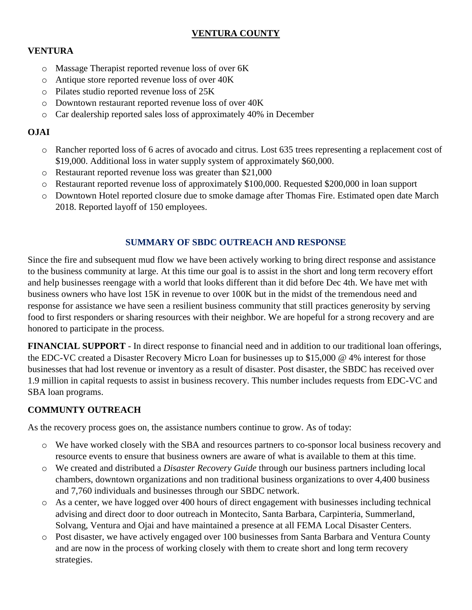## **VENTURA COUNTY**

# **VENTURA**

- o Massage Therapist reported revenue loss of over 6K
- o Antique store reported revenue loss of over 40K
- o Pilates studio reported revenue loss of 25K
- o Downtown restaurant reported revenue loss of over 40K
- o Car dealership reported sales loss of approximately 40% in December

#### **OJAI**

- o Rancher reported loss of 6 acres of avocado and citrus. Lost 635 trees representing a replacement cost of \$19,000. Additional loss in water supply system of approximately \$60,000.
- o Restaurant reported revenue loss was greater than \$21,000
- o Restaurant reported revenue loss of approximately \$100,000. Requested \$200,000 in loan support
- o Downtown Hotel reported closure due to smoke damage after Thomas Fire. Estimated open date March 2018. Reported layoff of 150 employees.

### **SUMMARY OF SBDC OUTREACH AND RESPONSE**

Since the fire and subsequent mud flow we have been actively working to bring direct response and assistance to the business community at large. At this time our goal is to assist in the short and long term recovery effort and help businesses reengage with a world that looks different than it did before Dec 4th. We have met with business owners who have lost 15K in revenue to over 100K but in the midst of the tremendous need and response for assistance we have seen a resilient business community that still practices generosity by serving food to first responders or sharing resources with their neighbor. We are hopeful for a strong recovery and are honored to participate in the process.

**FINANCIAL SUPPORT** - In direct response to financial need and in addition to our traditional loan offerings, the EDC-VC created a Disaster Recovery Micro Loan for businesses up to \$15,000 @ 4% interest for those businesses that had lost revenue or inventory as a result of disaster. Post disaster, the SBDC has received over 1.9 million in capital requests to assist in business recovery. This number includes requests from EDC-VC and SBA loan programs.

### **COMMUNTY OUTREACH**

As the recovery process goes on, the assistance numbers continue to grow. As of today:

- o We have worked closely with the SBA and resources partners to co-sponsor local business recovery and resource events to ensure that business owners are aware of what is available to them at this time.
- o We created and distributed a *Disaster Recovery Guide* through our business partners including local chambers, downtown organizations and non traditional business organizations to over 4,400 business and 7,760 individuals and businesses through our SBDC network.
- o As a center, we have logged over 400 hours of direct engagement with businesses including technical advising and direct door to door outreach in Montecito, Santa Barbara, Carpinteria, Summerland, Solvang, Ventura and Ojai and have maintained a presence at all FEMA Local Disaster Centers.
- o Post disaster, we have actively engaged over 100 businesses from Santa Barbara and Ventura County and are now in the process of working closely with them to create short and long term recovery strategies.